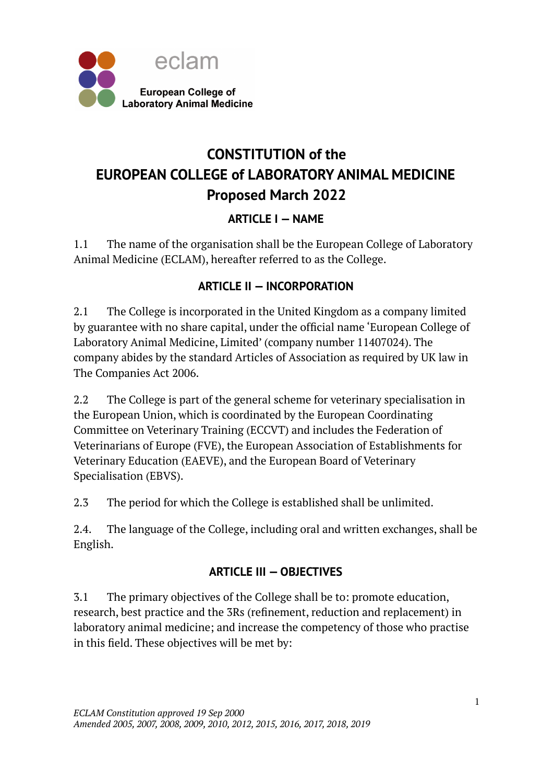

# **CONSTITUTION of the EUROPEAN COLLEGE of LABORATORY ANIMAL MEDICINE Proposed March 2022**

## **ARTICLE I — NAME**

1.1 The name of the organisation shall be the European College of Laboratory Animal Medicine (ECLAM), hereafter referred to as the College.

## **ARTICLE II — INCORPORATION**

2.1 The College is incorporated in the United Kingdom as a company limited by guarantee with no share capital, under the official name 'European College of Laboratory Animal Medicine, Limited' (company number 11407024). The company abides by the standard Articles of Association as required by UK law in The Companies Act 2006.

2.2 The College is part of the general scheme for veterinary specialisation in the European Union, which is coordinated by the European Coordinating Committee on Veterinary Training (ECCVT) and includes the Federation of Veterinarians of Europe (FVE), the European Association of Establishments for Veterinary Education (EAEVE), and the European Board of Veterinary Specialisation (EBVS).

2.3 The period for which the College is established shall be unlimited.

2.4. The language of the College, including oral and written exchanges, shall be English.

## **ARTICLE III — OBJECTIVES**

3.1 The primary objectives of the College shall be to: promote education, research, best practice and the 3Rs (refinement, reduction and replacement) in laboratory animal medicine; and increase the competency of those who practise in this field. These objectives will be met by: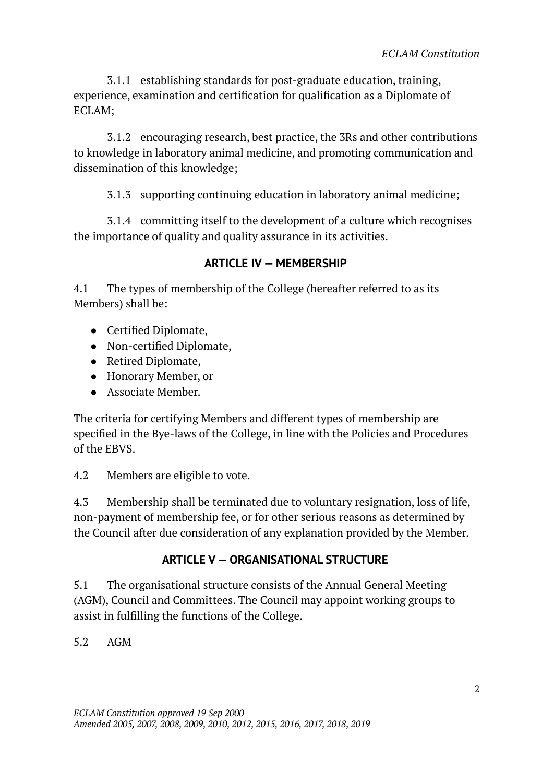3.1.1 establishing standards for post-graduate education, training, experience, examination and certification for qualification as a Diplomate of ECLAM;

3.1.2 encouraging research, best practice, the 3Rs and other contributions to knowledge in laboratory animal medicine, and promoting communication and dissemination of this knowledge;

3.1.3 supporting continuing education in laboratory animal medicine;

3.1.4 committing itself to the development of a culture which recognises the importance of quality and quality assurance in its activities.

## **ARTICLE IV — MEMBERSHIP**

4.1 The types of membership of the College (hereafter referred to as its Members) shall be:

- Certified Diplomate,
- Non-certified Diplomate,
- Retired Diplomate,
- Honorary Member, or
- Associate Member.

The criteria for certifying Members and different types of membership are specified in the Bye-laws of the College, in line with the Policies and Procedures of the EBVS.

4.2 Members are eligible to vote.

4.3 Membership shall be terminated due to voluntary resignation, loss of life, non-payment of membership fee, or for other serious reasons as determined by the Council after due consideration of any explanation provided by the Member.

## **ARTICLE V — ORGANISATIONAL STRUCTURE**

5.1 The organisational structure consists of the Annual General Meeting (AGM), Council and Committees. The Council may appoint working groups to assist in fulfilling the functions of the College.

5.2 AGM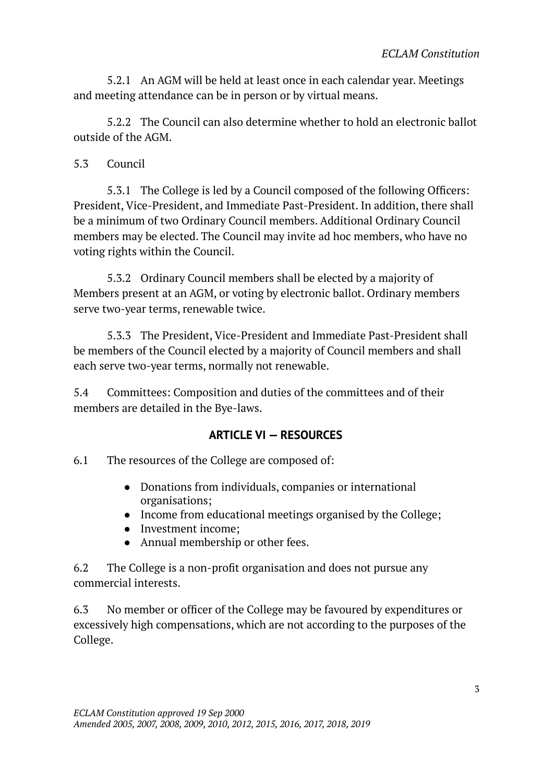5.2.1 An AGM will be held at least once in each calendar year. Meetings and meeting attendance can be in person or by virtual means.

5.2.2 The Council can also determine whether to hold an electronic ballot outside of the AGM.

## 5.3 Council

5.3.1 The College is led by a Council composed of the following Officers: President, Vice-President, and Immediate Past-President. In addition, there shall be a minimum of two Ordinary Council members. Additional Ordinary Council members may be elected. The Council may invite ad hoc members, who have no voting rights within the Council.

5.3.2 Ordinary Council members shall be elected by a majority of Members present at an AGM, or voting by electronic ballot. Ordinary members serve two-year terms, renewable twice.

5.3.3 The President, Vice-President and Immediate Past-President shall be members of the Council elected by a majority of Council members and shall each serve two-year terms, normally not renewable.

5.4 Committees: Composition and duties of the committees and of their members are detailed in the Bye-laws.

## **ARTICLE VI — RESOURCES**

6.1 The resources of the College are composed of:

- Donations from individuals, companies or international organisations;
- Income from educational meetings organised by the College;
- Investment income;
- Annual membership or other fees.

6.2 The College is a non-profit organisation and does not pursue any commercial interests.

6.3 No member or officer of the College may be favoured by expenditures or excessively high compensations, which are not according to the purposes of the College.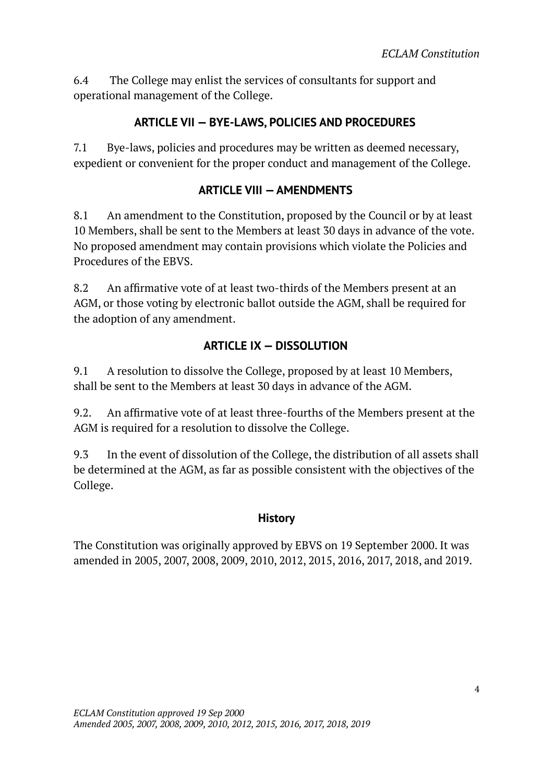6.4 The College may enlist the services of consultants for support and operational management of the College.

## **ARTICLE VII — BYE-LAWS, POLICIES AND PROCEDURES**

7.1 Bye-laws, policies and procedures may be written as deemed necessary, expedient or convenient for the proper conduct and management of the College.

## **ARTICLE VIII —AMENDMENTS**

8.1 An amendment to the Constitution, proposed by the Council or by at least 10 Members, shall be sent to the Members at least 30 days in advance of the vote. No proposed amendment may contain provisions which violate the Policies and Procedures of the EBVS.

8.2 An affirmative vote of at least two-thirds of the Members present at an AGM, or those voting by electronic ballot outside the AGM, shall be required for the adoption of any amendment.

## **ARTICLE IX — DISSOLUTION**

9.1 A resolution to dissolve the College, proposed by at least 10 Members, shall be sent to the Members at least 30 days in advance of the AGM.

9.2. An affirmative vote of at least three-fourths of the Members present at the AGM is required for a resolution to dissolve the College.

9.3 In the event of dissolution of the College, the distribution of all assets shall be determined at the AGM, as far as possible consistent with the objectives of the College.

#### **History**

The Constitution was originally approved by EBVS on 19 September 2000. It was amended in 2005, 2007, 2008, 2009, 2010, 2012, 2015, 2016, 2017, 2018, and 2019.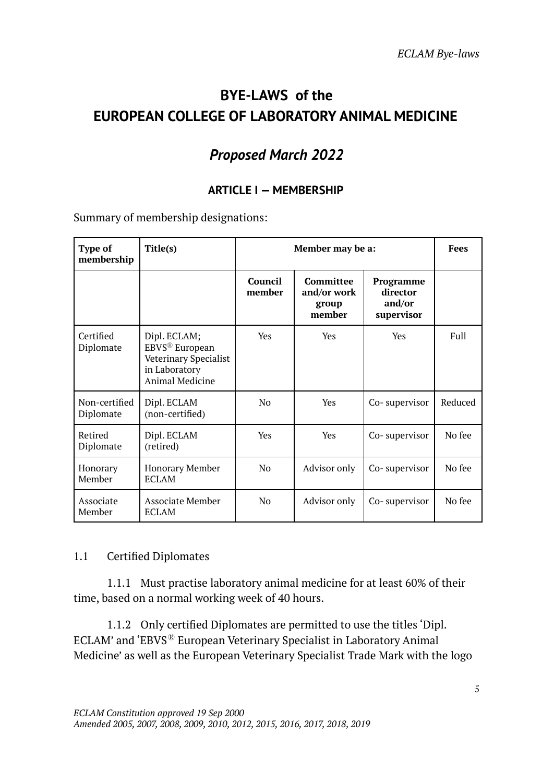# **BYE-LAWS of the EUROPEAN COLLEGE OF LABORATORY ANIMAL MEDICINE**

## *Proposed March 2022*

## **ARTICLE I — MEMBERSHIP**

Summary of membership designations:

| <b>Type of</b><br>membership | Title(s)                                                                                                       | Member may be a:  |                                             |                                               | <b>Fees</b> |
|------------------------------|----------------------------------------------------------------------------------------------------------------|-------------------|---------------------------------------------|-----------------------------------------------|-------------|
|                              |                                                                                                                | Council<br>member | Committee<br>and/or work<br>group<br>member | Programme<br>director<br>and/or<br>supervisor |             |
| Certified<br>Diplomate       | Dipl. ECLAM;<br>EBVS <sup>®</sup> European<br>Veterinary Specialist<br>in Laboratory<br><b>Animal Medicine</b> | <b>Yes</b>        | <b>Yes</b>                                  | <b>Yes</b>                                    | Full        |
| Non-certified<br>Diplomate   | Dipl. ECLAM<br>(non-certified)                                                                                 | No                | Yes                                         | Co-supervisor                                 | Reduced     |
| Retired<br>Diplomate         | Dipl. ECLAM<br>(retired)                                                                                       | Yes               | Yes                                         | Co-supervisor                                 | No fee      |
| Honorary<br>Member           | <b>Honorary Member</b><br><b>ECLAM</b>                                                                         | N <sub>o</sub>    | Advisor only                                | Co-supervisor                                 | No fee      |
| Associate<br>Member          | Associate Member<br><b>ECLAM</b>                                                                               | No                | Advisor only                                | Co-supervisor                                 | No fee      |

#### 1.1 Certified Diplomates

1.1.1 Must practise laboratory animal medicine for at least 60% of their time, based on a normal working week of 40 hours.

1.1.2 Only certified Diplomates are permitted to use the titles 'Dipl. ECLAM' and 'EBVSⓇ European Veterinary Specialist in Laboratory Animal Medicine' as well as the European Veterinary Specialist Trade Mark with the logo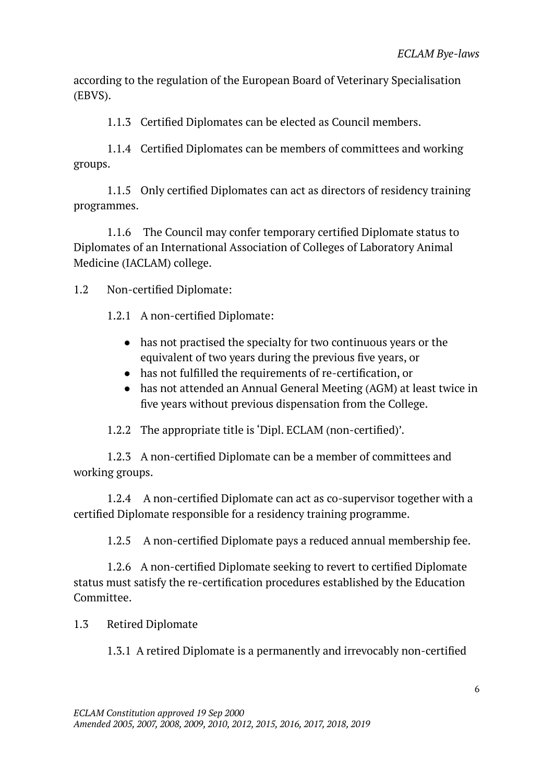according to the regulation of the European Board of Veterinary Specialisation (EBVS).

1.1.3 Certified Diplomates can be elected as Council members.

1.1.4 Certified Diplomates can be members of committees and working groups.

1.1.5 Only certified Diplomates can act as directors of residency training programmes.

1.1.6 The Council may confer temporary certified Diplomate status to Diplomates of an International Association of Colleges of Laboratory Animal Medicine (IACLAM) college.

1.2 Non-certified Diplomate:

1.2.1 A non-certified Diplomate:

- has not practised the specialty for two continuous years or the equivalent of two years during the previous five years, or
- has not fulfilled the requirements of re-certification, or
- has not attended an Annual General Meeting (AGM) at least twice in five years without previous dispensation from the College.

1.2.2 The appropriate title is 'Dipl. ECLAM (non-certified)'.

1.2.3 A non-certified Diplomate can be a member of committees and working groups.

1.2.4 A non-certified Diplomate can act as co-supervisor together with a certified Diplomate responsible for a residency training programme.

1.2.5 A non-certified Diplomate pays a reduced annual membership fee.

1.2.6 A non-certified Diplomate seeking to revert to certified Diplomate status must satisfy the re-certification procedures established by the Education Committee.

## 1.3 Retired Diplomate

1.3.1 A retired Diplomate is a permanently and irrevocably non-certified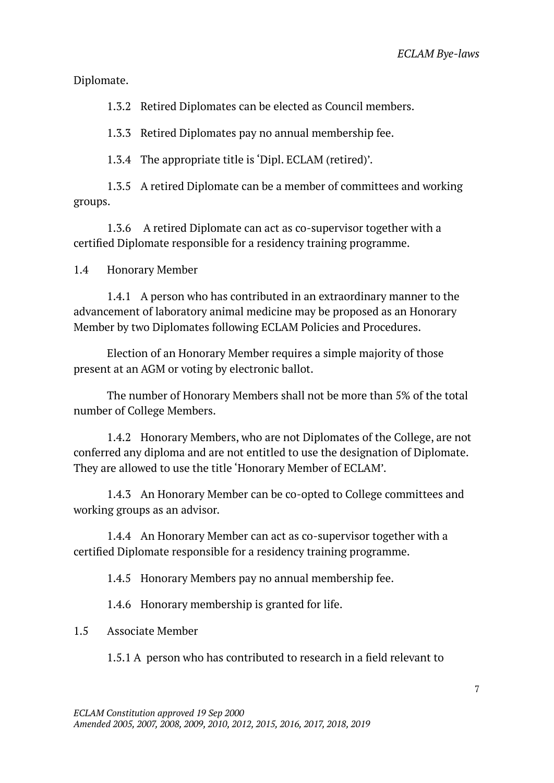Diplomate.

1.3.2 Retired Diplomates can be elected as Council members.

1.3.3 Retired Diplomates pay no annual membership fee.

1.3.4 The appropriate title is 'Dipl. ECLAM (retired)'.

1.3.5 A retired Diplomate can be a member of committees and working groups.

1.3.6 A retired Diplomate can act as co-supervisor together with a certified Diplomate responsible for a residency training programme.

1.4 Honorary Member

1.4.1 A person who has contributed in an extraordinary manner to the advancement of laboratory animal medicine may be proposed as an Honorary Member by two Diplomates following ECLAM Policies and Procedures.

Election of an Honorary Member requires a simple majority of those present at an AGM or voting by electronic ballot.

The number of Honorary Members shall not be more than 5% of the total number of College Members.

1.4.2 Honorary Members, who are not Diplomates of the College, are not conferred any diploma and are not entitled to use the designation of Diplomate. They are allowed to use the title 'Honorary Member of ECLAM'.

1.4.3 An Honorary Member can be co-opted to College committees and working groups as an advisor.

1.4.4 An Honorary Member can act as co-supervisor together with a certified Diplomate responsible for a residency training programme.

1.4.5 Honorary Members pay no annual membership fee.

1.4.6 Honorary membership is granted for life.

#### 1.5 Associate Member

1.5.1 A person who has contributed to research in a field relevant to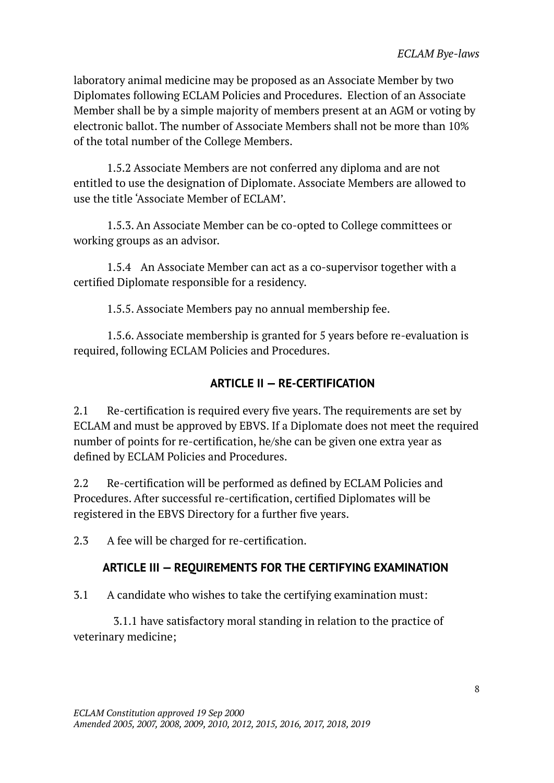laboratory animal medicine may be proposed as an Associate Member by two Diplomates following ECLAM Policies and Procedures. Election of an Associate Member shall be by a simple majority of members present at an AGM or voting by electronic ballot. The number of Associate Members shall not be more than 10% of the total number of the College Members.

1.5.2 Associate Members are not conferred any diploma and are not entitled to use the designation of Diplomate. Associate Members are allowed to use the title 'Associate Member of ECLAM'.

1.5.3. An Associate Member can be co-opted to College committees or working groups as an advisor.

1.5.4 An Associate Member can act as a co-supervisor together with a certified Diplomate responsible for a residency.

1.5.5. Associate Members pay no annual membership fee.

1.5.6. Associate membership is granted for 5 years before re-evaluation is required, following ECLAM Policies and Procedures.

## **ARTICLE II — RE-CERTIFICATION**

2.1 Re-certification is required every five years. The requirements are set by ECLAM and must be approved by EBVS. If a Diplomate does not meet the required number of points for re-certification, he/she can be given one extra year as defined by ECLAM Policies and Procedures.

2.2 Re-certification will be performed as defined by ECLAM Policies and Procedures. After successful re-certification, certified Diplomates will be registered in the EBVS Directory for a further five years.

2.3 A fee will be charged for re-certification.

## **ARTICLE III — REQUIREMENTS FOR THE CERTIFYING EXAMINATION**

3.1 A candidate who wishes to take the certifying examination must:

3.1.1 have satisfactory moral standing in relation to the practice of veterinary medicine;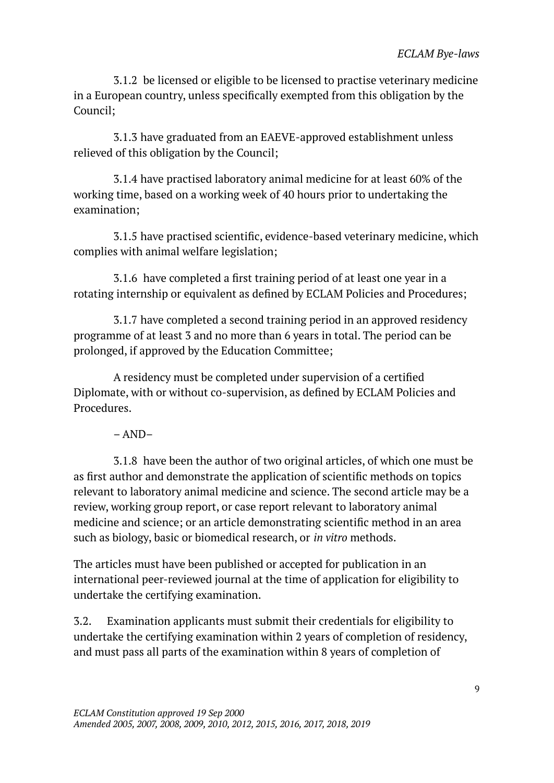3.1.2 be licensed or eligible to be licensed to practise veterinary medicine in a European country, unless specifically exempted from this obligation by the Council;

3.1.3 have graduated from an EAEVE-approved establishment unless relieved of this obligation by the Council;

3.1.4 have practised laboratory animal medicine for at least 60% of the working time, based on a working week of 40 hours prior to undertaking the examination;

3.1.5 have practised scientific, evidence-based veterinary medicine, which complies with animal welfare legislation;

3.1.6 have completed a first training period of at least one year in a rotating internship or equivalent as defined by ECLAM Policies and Procedures;

3.1.7 have completed a second training period in an approved residency programme of at least 3 and no more than 6 years in total. The period can be prolonged, if approved by the Education Committee;

A residency must be completed under supervision of a certified Diplomate, with or without co-supervision, as defined by ECLAM Policies and Procedures.

– AND–

3.1.8 have been the author of two original articles, of which one must be as first author and demonstrate the application of scientific methods on topics relevant to laboratory animal medicine and science. The second article may be a review, working group report, or case report relevant to laboratory animal medicine and science; or an article demonstrating scientific method in an area such as biology, basic or biomedical research, or *in vitro* methods.

The articles must have been published or accepted for publication in an international peer-reviewed journal at the time of application for eligibility to undertake the certifying examination.

3.2. Examination applicants must submit their credentials for eligibility to undertake the certifying examination within 2 years of completion of residency, and must pass all parts of the examination within 8 years of completion of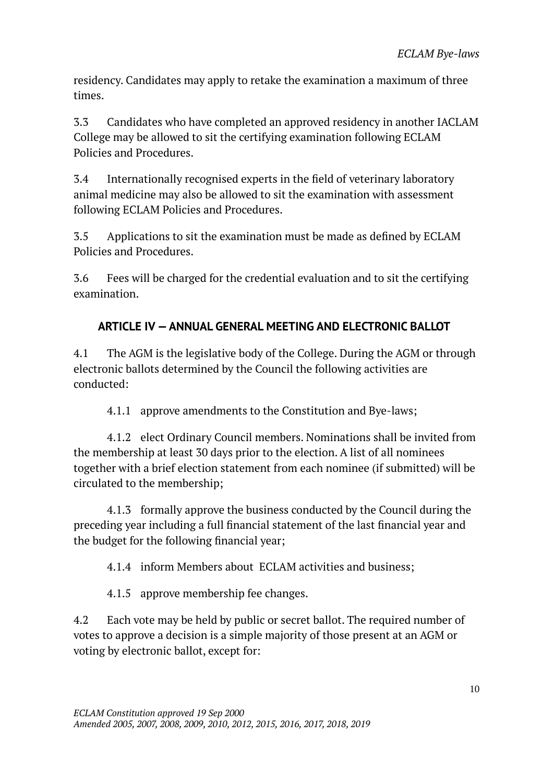residency. Candidates may apply to retake the examination a maximum of three times.

3.3 Candidates who have completed an approved residency in another IACLAM College may be allowed to sit the certifying examination following ECLAM Policies and Procedures.

3.4 Internationally recognised experts in the field of veterinary laboratory animal medicine may also be allowed to sit the examination with assessment following ECLAM Policies and Procedures.

3.5 Applications to sit the examination must be made as defined by ECLAM Policies and Procedures.

3.6 Fees will be charged for the credential evaluation and to sit the certifying examination.

## **ARTICLE IV —ANNUAL GENERAL MEETING AND ELECTRONIC BALLOT**

4.1 The AGM is the legislative body of the College. During the AGM or through electronic ballots determined by the Council the following activities are conducted:

4.1.1 approve amendments to the Constitution and Bye-laws;

4.1.2 elect Ordinary Council members. Nominations shall be invited from the membership at least 30 days prior to the election. A list of all nominees together with a brief election statement from each nominee (if submitted) will be circulated to the membership;

4.1.3 formally approve the business conducted by the Council during the preceding year including a full financial statement of the last financial year and the budget for the following financial year;

4.1.4 inform Members about ECLAM activities and business;

4.1.5 approve membership fee changes.

4.2 Each vote may be held by public or secret ballot. The required number of votes to approve a decision is a simple majority of those present at an AGM or voting by electronic ballot, except for: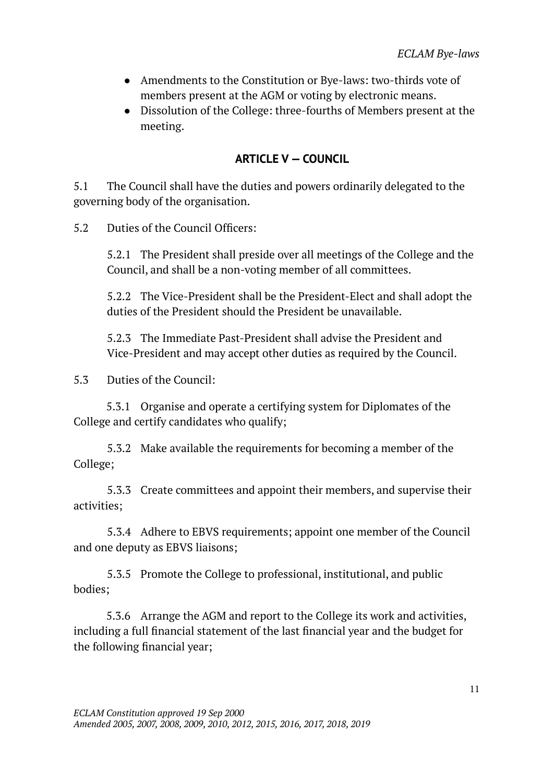- Amendments to the Constitution or Bye-laws: two-thirds vote of members present at the AGM or voting by electronic means.
- Dissolution of the College: three-fourths of Members present at the meeting.

### **ARTICLE V — COUNCIL**

5.1 The Council shall have the duties and powers ordinarily delegated to the governing body of the organisation.

5.2 Duties of the Council Officers:

5.2.1 The President shall preside over all meetings of the College and the Council, and shall be a non-voting member of all committees.

5.2.2 The Vice-President shall be the President-Elect and shall adopt the duties of the President should the President be unavailable.

5.2.3 The Immediate Past-President shall advise the President and Vice-President and may accept other duties as required by the Council.

5.3 Duties of the Council:

5.3.1 Organise and operate a certifying system for Diplomates of the College and certify candidates who qualify;

5.3.2 Make available the requirements for becoming a member of the College;

5.3.3 Create committees and appoint their members, and supervise their activities;

5.3.4 Adhere to EBVS requirements; appoint one member of the Council and one deputy as EBVS liaisons;

5.3.5 Promote the College to professional, institutional, and public bodies;

5.3.6 Arrange the AGM and report to the College its work and activities, including a full financial statement of the last financial year and the budget for the following financial year;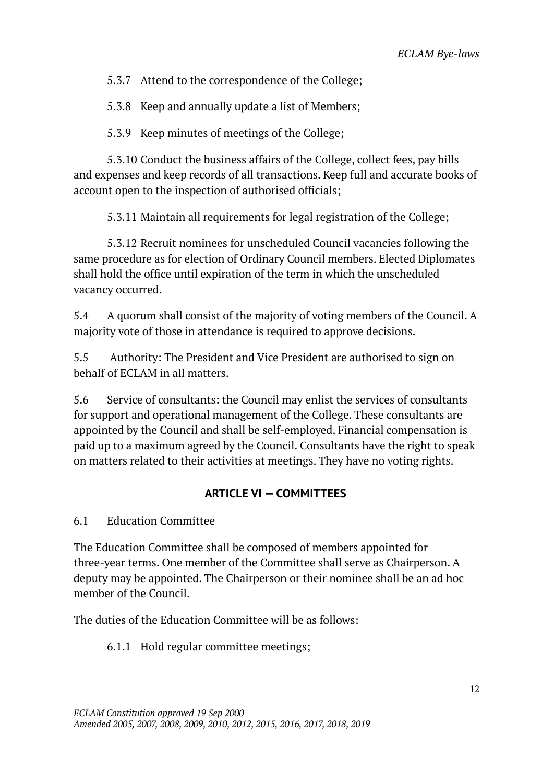5.3.7 Attend to the correspondence of the College;

5.3.8 Keep and annually update a list of Members;

5.3.9 Keep minutes of meetings of the College;

5.3.10 Conduct the business affairs of the College, collect fees, pay bills and expenses and keep records of all transactions. Keep full and accurate books of account open to the inspection of authorised officials;

5.3.11 Maintain all requirements for legal registration of the College;

5.3.12 Recruit nominees for unscheduled Council vacancies following the same procedure as for election of Ordinary Council members. Elected Diplomates shall hold the office until expiration of the term in which the unscheduled vacancy occurred.

5.4 A quorum shall consist of the majority of voting members of the Council. A majority vote of those in attendance is required to approve decisions.

5.5 Authority: The President and Vice President are authorised to sign on behalf of ECLAM in all matters.

5.6 Service of consultants: the Council may enlist the services of consultants for support and operational management of the College. These consultants are appointed by the Council and shall be self-employed. Financial compensation is paid up to a maximum agreed by the Council. Consultants have the right to speak on matters related to their activities at meetings. They have no voting rights.

## **ARTICLE VI — COMMITTEES**

6.1 Education Committee

The Education Committee shall be composed of members appointed for three-year terms. One member of the Committee shall serve as Chairperson. A deputy may be appointed. The Chairperson or their nominee shall be an ad hoc member of the Council.

The duties of the Education Committee will be as follows:

## 6.1.1 Hold regular committee meetings;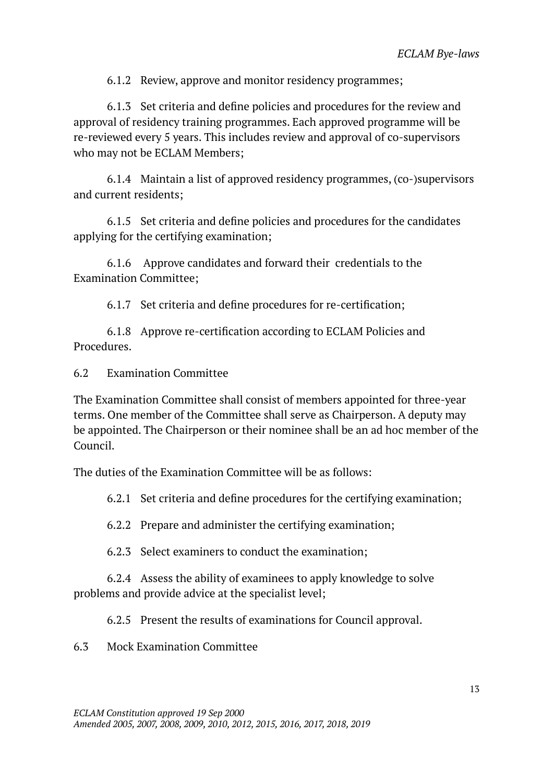6.1.2 Review, approve and monitor residency programmes;

6.1.3 Set criteria and define policies and procedures for the review and approval of residency training programmes. Each approved programme will be re-reviewed every 5 years. This includes review and approval of co-supervisors who may not be ECLAM Members;

6.1.4 Maintain a list of approved residency programmes, (co-)supervisors and current residents;

6.1.5 Set criteria and define policies and procedures for the candidates applying for the certifying examination;

6.1.6 Approve candidates and forward their credentials to the Examination Committee;

6.1.7 Set criteria and define procedures for re-certification;

6.1.8 Approve re-certification according to ECLAM Policies and Procedures.

6.2 Examination Committee

The Examination Committee shall consist of members appointed for three-year terms. One member of the Committee shall serve as Chairperson. A deputy may be appointed. The Chairperson or their nominee shall be an ad hoc member of the Council.

The duties of the Examination Committee will be as follows:

6.2.1 Set criteria and define procedures for the certifying examination;

6.2.2 Prepare and administer the certifying examination;

6.2.3 Select examiners to conduct the examination;

6.2.4 Assess the ability of examinees to apply knowledge to solve problems and provide advice at the specialist level;

6.2.5 Present the results of examinations for Council approval.

6.3 Mock Examination Committee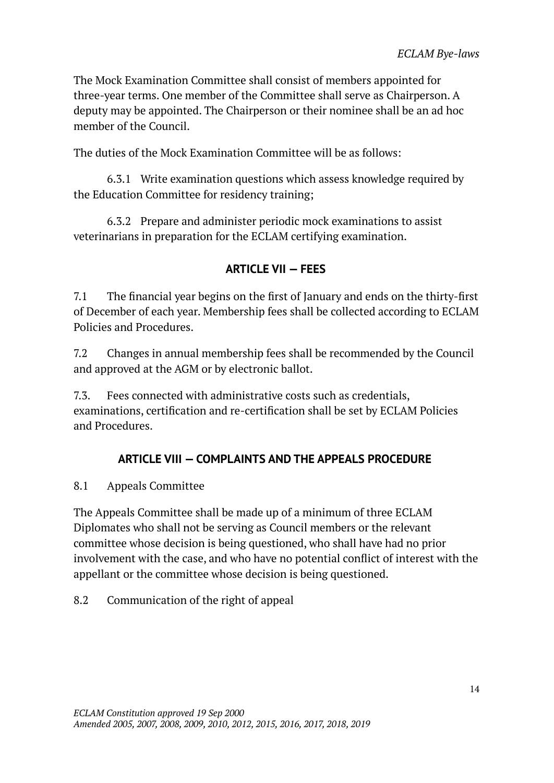The Mock Examination Committee shall consist of members appointed for three-year terms. One member of the Committee shall serve as Chairperson. A deputy may be appointed. The Chairperson or their nominee shall be an ad hoc member of the Council.

The duties of the Mock Examination Committee will be as follows:

6.3.1 Write examination questions which assess knowledge required by the Education Committee for residency training;

6.3.2 Prepare and administer periodic mock examinations to assist veterinarians in preparation for the ECLAM certifying examination.

## **ARTICLE VII — FEES**

7.1 The financial year begins on the first of January and ends on the thirty-first of December of each year. Membership fees shall be collected according to ECLAM Policies and Procedures.

7.2 Changes in annual membership fees shall be recommended by the Council and approved at the AGM or by electronic ballot.

7.3. Fees connected with administrative costs such as credentials, examinations, certification and re-certification shall be set by ECLAM Policies and Procedures.

## **ARTICLE VIII — COMPLAINTS AND THE APPEALS PROCEDURE**

8.1 Appeals Committee

The Appeals Committee shall be made up of a minimum of three ECLAM Diplomates who shall not be serving as Council members or the relevant committee whose decision is being questioned, who shall have had no prior involvement with the case, and who have no potential conflict of interest with the appellant or the committee whose decision is being questioned.

8.2 Communication of the right of appeal